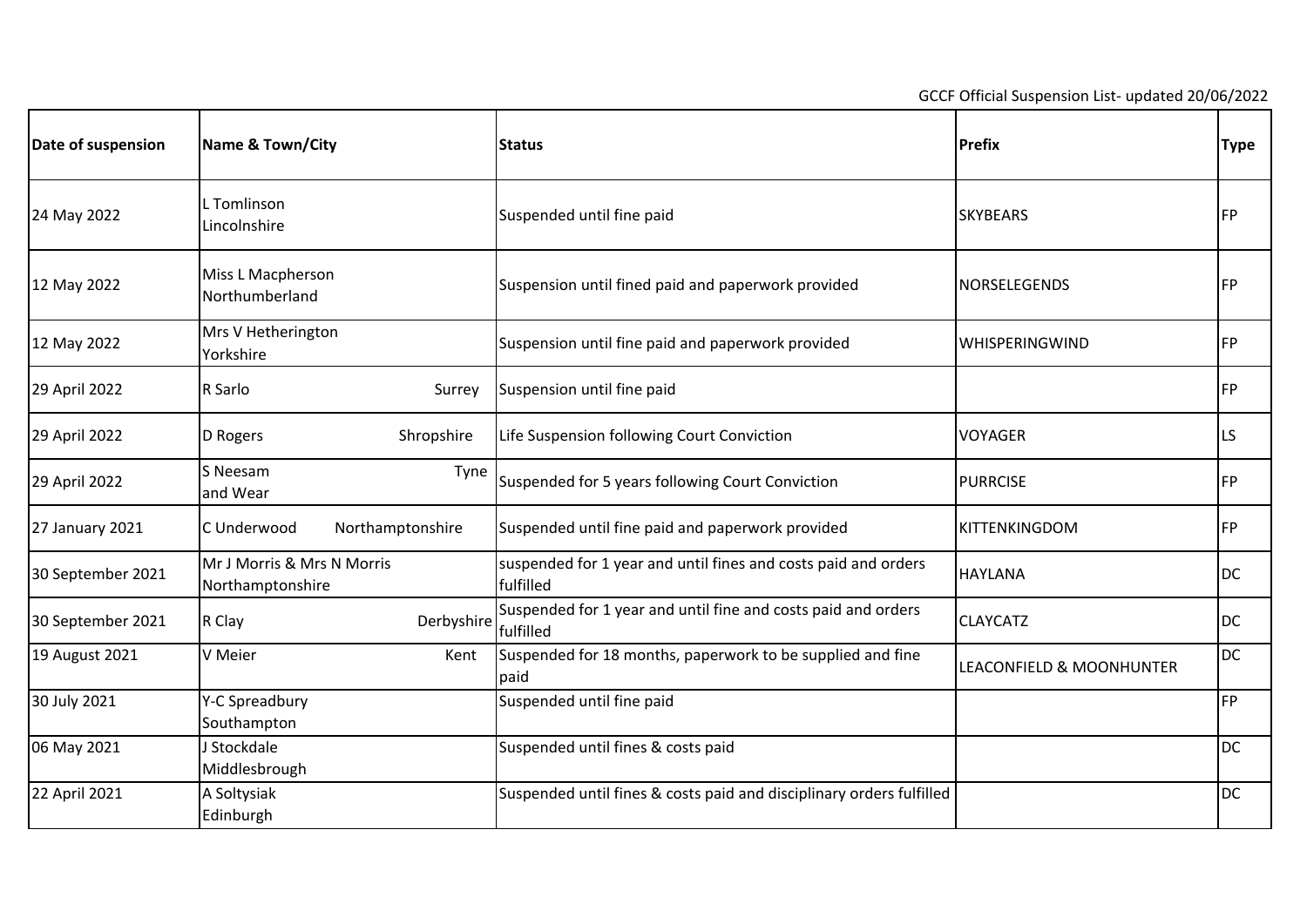GCCF Official Suspension List- updated 20/06/2022

| Date of suspension | Name & Town/City                               | <b>Status</b>                                                               | Prefix                   | <b>Type</b> |
|--------------------|------------------------------------------------|-----------------------------------------------------------------------------|--------------------------|-------------|
| 24 May 2022        | L Tomlinson<br>Lincolnshire                    | Suspended until fine paid                                                   | <b>SKYBEARS</b>          | FP          |
| 12 May 2022        | Miss L Macpherson<br>Northumberland            | Suspension until fined paid and paperwork provided                          | NORSELEGENDS             | <b>FP</b>   |
| 12 May 2022        | Mrs V Hetherington<br>Yorkshire                | Suspension until fine paid and paperwork provided                           | <b>WHISPERINGWIND</b>    | <b>FP</b>   |
| 29 April 2022      | R Sarlo<br>Surrey                              | Suspension until fine paid                                                  |                          | <b>FP</b>   |
| 29 April 2022      | Shropshire<br>D Rogers                         | Life Suspension following Court Conviction                                  | <b>VOYAGER</b>           | LS          |
| 29 April 2022      | S Neesam<br>Tyne<br>and Wear                   | Suspended for 5 years following Court Conviction                            | <b>PURRCISE</b>          | <b>FP</b>   |
| 27 January 2021    | C Underwood<br>Northamptonshire                | Suspended until fine paid and paperwork provided                            | KITTENKINGDOM            | <b>FP</b>   |
| 30 September 2021  | Mr J Morris & Mrs N Morris<br>Northamptonshire | suspended for 1 year and until fines and costs paid and orders<br>fulfilled | <b>HAYLANA</b>           | <b>DC</b>   |
| 30 September 2021  | R Clay<br>Derbyshire                           | Suspended for 1 year and until fine and costs paid and orders<br>fulfilled  | <b>CLAYCATZ</b>          | <b>DC</b>   |
| 19 August 2021     | V Meier<br>Kent                                | Suspended for 18 months, paperwork to be supplied and fine<br>paid          | LEACONFIELD & MOONHUNTER | <b>DC</b>   |
| 30 July 2021       | Y-C Spreadbury<br>Southampton                  | Suspended until fine paid                                                   |                          | <b>FP</b>   |
| 06 May 2021        | J Stockdale<br>Middlesbrough                   | Suspended until fines & costs paid                                          |                          | <b>DC</b>   |
| 22 April 2021      | A Soltysiak<br>Edinburgh                       | Suspended until fines & costs paid and disciplinary orders fulfilled        |                          | <b>DC</b>   |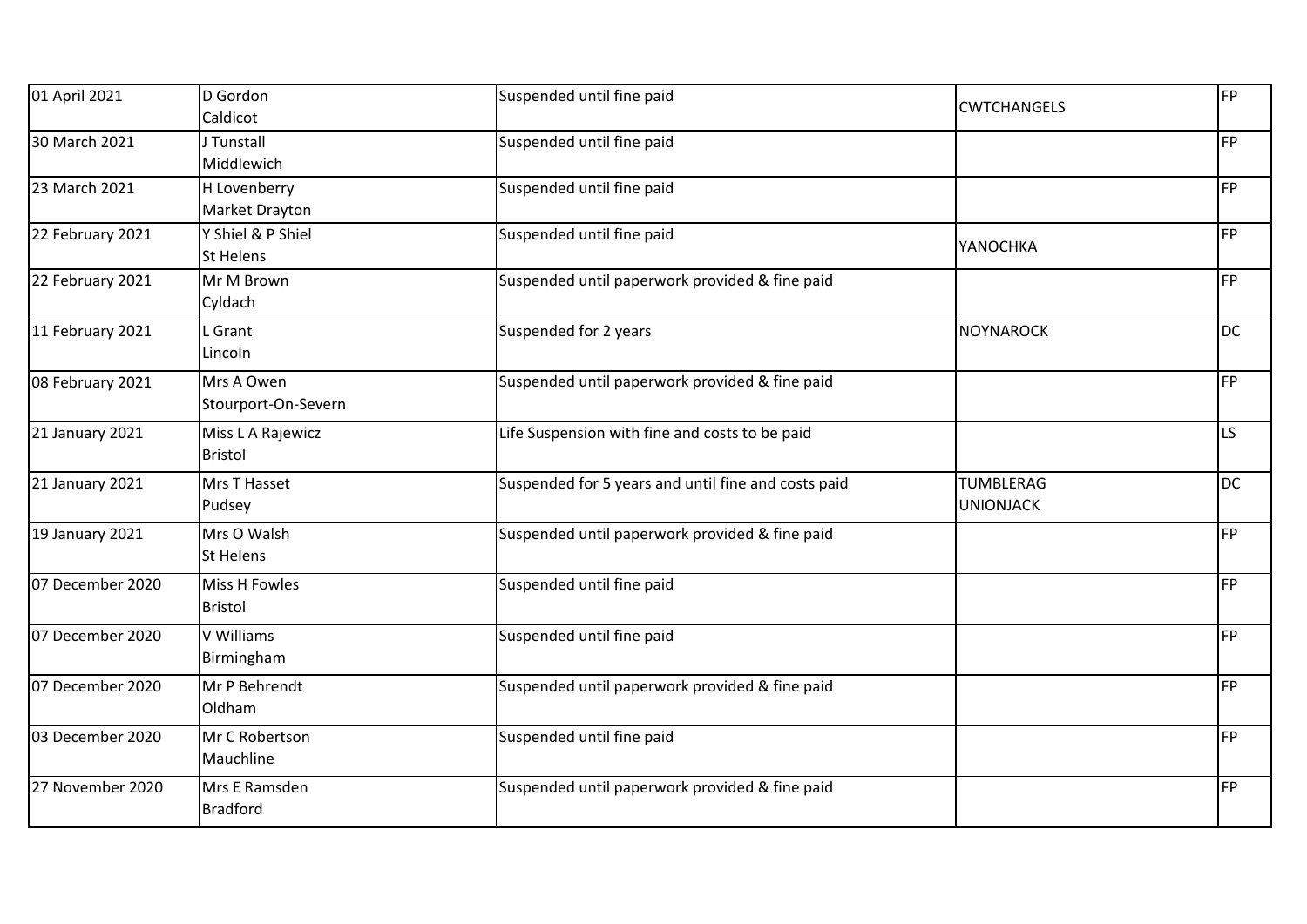| 01 April 2021    | D Gordon             | Suspended until fine paid                           | <b>CWTCHANGELS</b> | FP        |
|------------------|----------------------|-----------------------------------------------------|--------------------|-----------|
|                  | Caldicot             |                                                     |                    |           |
| 30 March 2021    | J Tunstall           | Suspended until fine paid                           |                    | FP        |
|                  | Middlewich           |                                                     |                    |           |
| 23 March 2021    | H Lovenberry         | Suspended until fine paid                           |                    | <b>FP</b> |
|                  | Market Drayton       |                                                     |                    |           |
| 22 February 2021 | Y Shiel & P Shiel    | Suspended until fine paid                           | YANOCHKA           | <b>FP</b> |
|                  | <b>St Helens</b>     |                                                     |                    |           |
| 22 February 2021 | Mr M Brown           | Suspended until paperwork provided & fine paid      |                    | <b>FP</b> |
|                  | Cyldach              |                                                     |                    |           |
| 11 February 2021 | Grant                | Suspended for 2 years                               | <b>NOYNAROCK</b>   | <b>DC</b> |
|                  | Lincoln              |                                                     |                    |           |
| 08 February 2021 | Mrs A Owen           | Suspended until paperwork provided & fine paid      |                    | <b>FP</b> |
|                  | Stourport-On-Severn  |                                                     |                    |           |
| 21 January 2021  | Miss L A Rajewicz    | Life Suspension with fine and costs to be paid      |                    | LS        |
|                  | <b>Bristol</b>       |                                                     |                    |           |
| 21 January 2021  | Mrs T Hasset         | Suspended for 5 years and until fine and costs paid | TUMBLERAG          | DC        |
|                  | Pudsey               |                                                     | <b>UNIONJACK</b>   |           |
| 19 January 2021  | Mrs O Walsh          | Suspended until paperwork provided & fine paid      |                    | FP        |
|                  | <b>St Helens</b>     |                                                     |                    |           |
| 07 December 2020 | <b>Miss H Fowles</b> | Suspended until fine paid                           |                    | <b>FP</b> |
|                  | <b>Bristol</b>       |                                                     |                    |           |
| 07 December 2020 | V Williams           | Suspended until fine paid                           |                    | FP        |
|                  | Birmingham           |                                                     |                    |           |
| 07 December 2020 | Mr P Behrendt        | Suspended until paperwork provided & fine paid      |                    | FP        |
|                  | Oldham               |                                                     |                    |           |
| 03 December 2020 | Mr C Robertson       | Suspended until fine paid                           |                    | FP        |
|                  | Mauchline            |                                                     |                    |           |
| 27 November 2020 | Mrs E Ramsden        | Suspended until paperwork provided & fine paid      |                    | FP        |
|                  | <b>Bradford</b>      |                                                     |                    |           |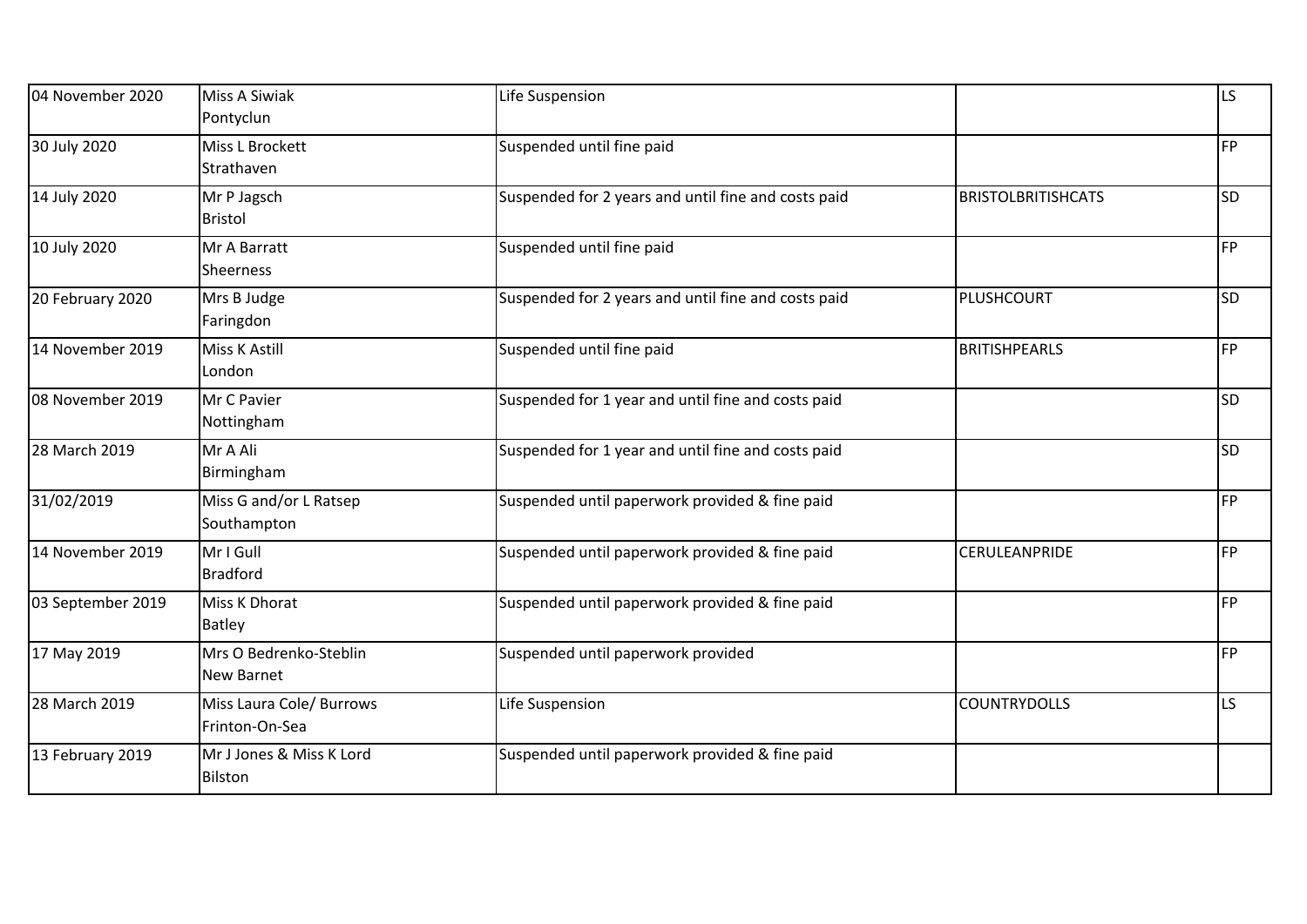| 04 November 2020  | <b>Miss A Siwiak</b><br>Pontyclun           | Life Suspension                                     |                           | <b>LS</b> |
|-------------------|---------------------------------------------|-----------------------------------------------------|---------------------------|-----------|
| 30 July 2020      | Miss L Brockett<br>Strathaven               | Suspended until fine paid                           |                           | <b>FP</b> |
| 14 July 2020      | Mr P Jagsch<br><b>Bristol</b>               | Suspended for 2 years and until fine and costs paid | <b>BRISTOLBRITISHCATS</b> | SD        |
| 10 July 2020      | Mr A Barratt<br>Sheerness                   | Suspended until fine paid                           |                           | <b>FP</b> |
| 20 February 2020  | Mrs B Judge<br>Faringdon                    | Suspended for 2 years and until fine and costs paid | PLUSHCOURT                | <b>SD</b> |
| 14 November 2019  | Miss K Astill<br>London                     | Suspended until fine paid                           | <b>BRITISHPEARLS</b>      | <b>FP</b> |
| 08 November 2019  | Mr C Pavier<br>Nottingham                   | Suspended for 1 year and until fine and costs paid  |                           | <b>SD</b> |
| 28 March 2019     | Mr A Ali<br>Birmingham                      | Suspended for 1 year and until fine and costs paid  |                           | <b>SD</b> |
| 31/02/2019        | Miss G and/or L Ratsep<br>Southampton       | Suspended until paperwork provided & fine paid      |                           | <b>FP</b> |
| 14 November 2019  | Mr I Gull<br><b>Bradford</b>                | Suspended until paperwork provided & fine paid      | CERULEANPRIDE             | <b>FP</b> |
| 03 September 2019 | Miss K Dhorat<br>Batley                     | Suspended until paperwork provided & fine paid      |                           | <b>FP</b> |
| 17 May 2019       | Mrs O Bedrenko-Steblin<br><b>New Barnet</b> | Suspended until paperwork provided                  |                           | <b>FP</b> |
| 28 March 2019     | Miss Laura Cole/ Burrows<br>Frinton-On-Sea  | Life Suspension                                     | <b>COUNTRYDOLLS</b>       | LS        |
| 13 February 2019  | Mr J Jones & Miss K Lord<br>Bilston         | Suspended until paperwork provided & fine paid      |                           |           |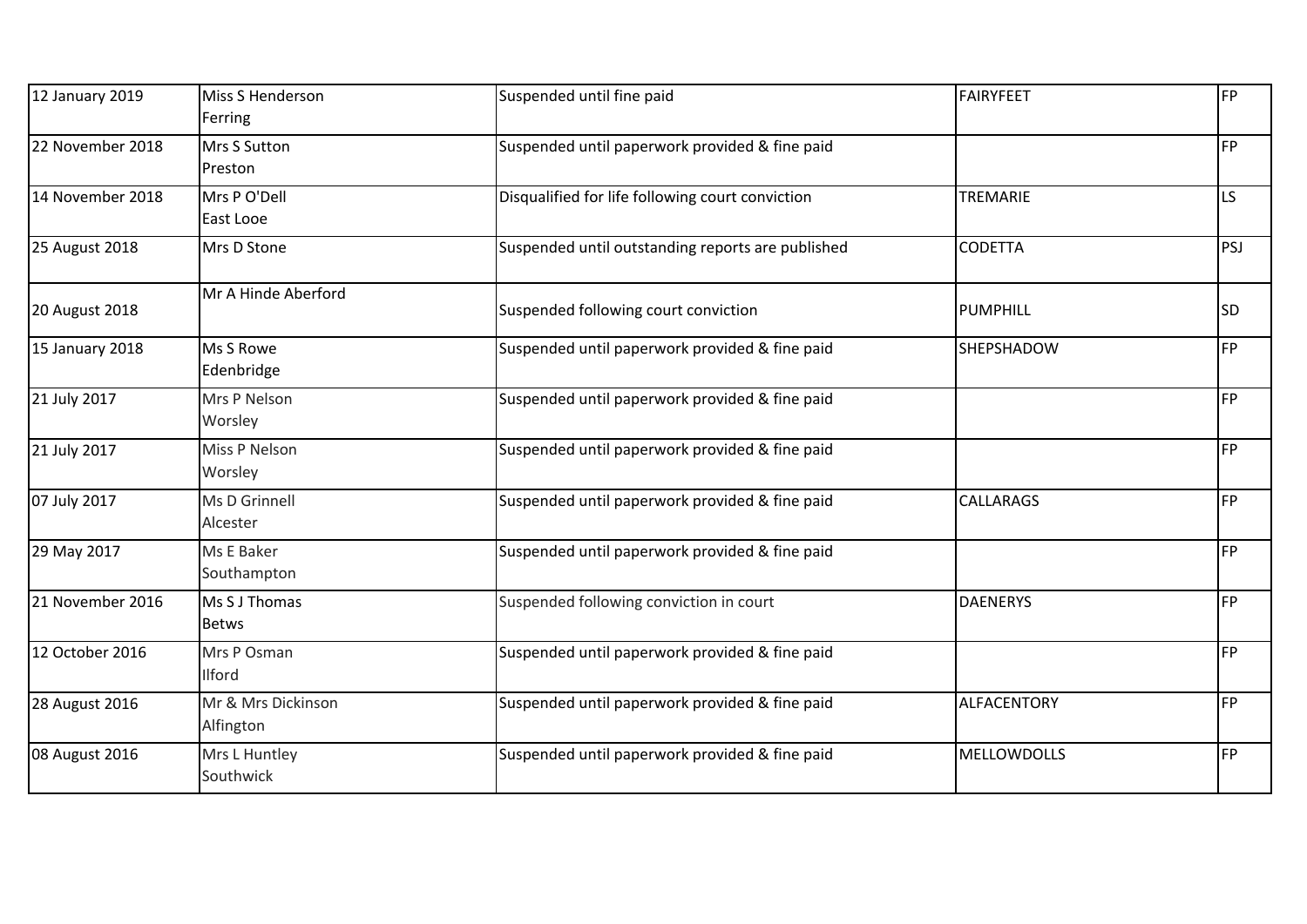| 12 January 2019  | Miss S Henderson<br>Ferring     | Suspended until fine paid                         | <b>FAIRYFEET</b>   | FP        |
|------------------|---------------------------------|---------------------------------------------------|--------------------|-----------|
| 22 November 2018 | <b>Mrs S Sutton</b><br>Preston  | Suspended until paperwork provided & fine paid    |                    | FP        |
| 14 November 2018 | Mrs P O'Dell<br>East Looe       | Disqualified for life following court conviction  | TREMARIE           | LS.       |
| 25 August 2018   | Mrs D Stone                     | Suspended until outstanding reports are published | <b>CODETTA</b>     | PSJ       |
| 20 August 2018   | Mr A Hinde Aberford             | Suspended following court conviction              | <b>PUMPHILL</b>    | <b>SD</b> |
| 15 January 2018  | Ms S Rowe<br>Edenbridge         | Suspended until paperwork provided & fine paid    | SHEPSHADOW         | <b>FP</b> |
| 21 July 2017     | Mrs P Nelson<br>Worsley         | Suspended until paperwork provided & fine paid    |                    | <b>FP</b> |
| 21 July 2017     | Miss P Nelson<br>Worsley        | Suspended until paperwork provided & fine paid    |                    | <b>FP</b> |
| 07 July 2017     | Ms D Grinnell<br>Alcester       | Suspended until paperwork provided & fine paid    | <b>CALLARAGS</b>   | FP        |
| 29 May 2017      | Ms E Baker<br>Southampton       | Suspended until paperwork provided & fine paid    |                    | <b>FP</b> |
| 21 November 2016 | Ms S J Thomas<br><b>Betws</b>   | Suspended following conviction in court           | <b>DAENERYS</b>    | <b>FP</b> |
| 12 October 2016  | Mrs P Osman<br>Ilford           | Suspended until paperwork provided & fine paid    |                    | FP        |
| 28 August 2016   | Mr & Mrs Dickinson<br>Alfington | Suspended until paperwork provided & fine paid    | ALFACENTORY        | FP        |
| 08 August 2016   | Mrs L Huntley<br>Southwick      | Suspended until paperwork provided & fine paid    | <b>MELLOWDOLLS</b> | <b>FP</b> |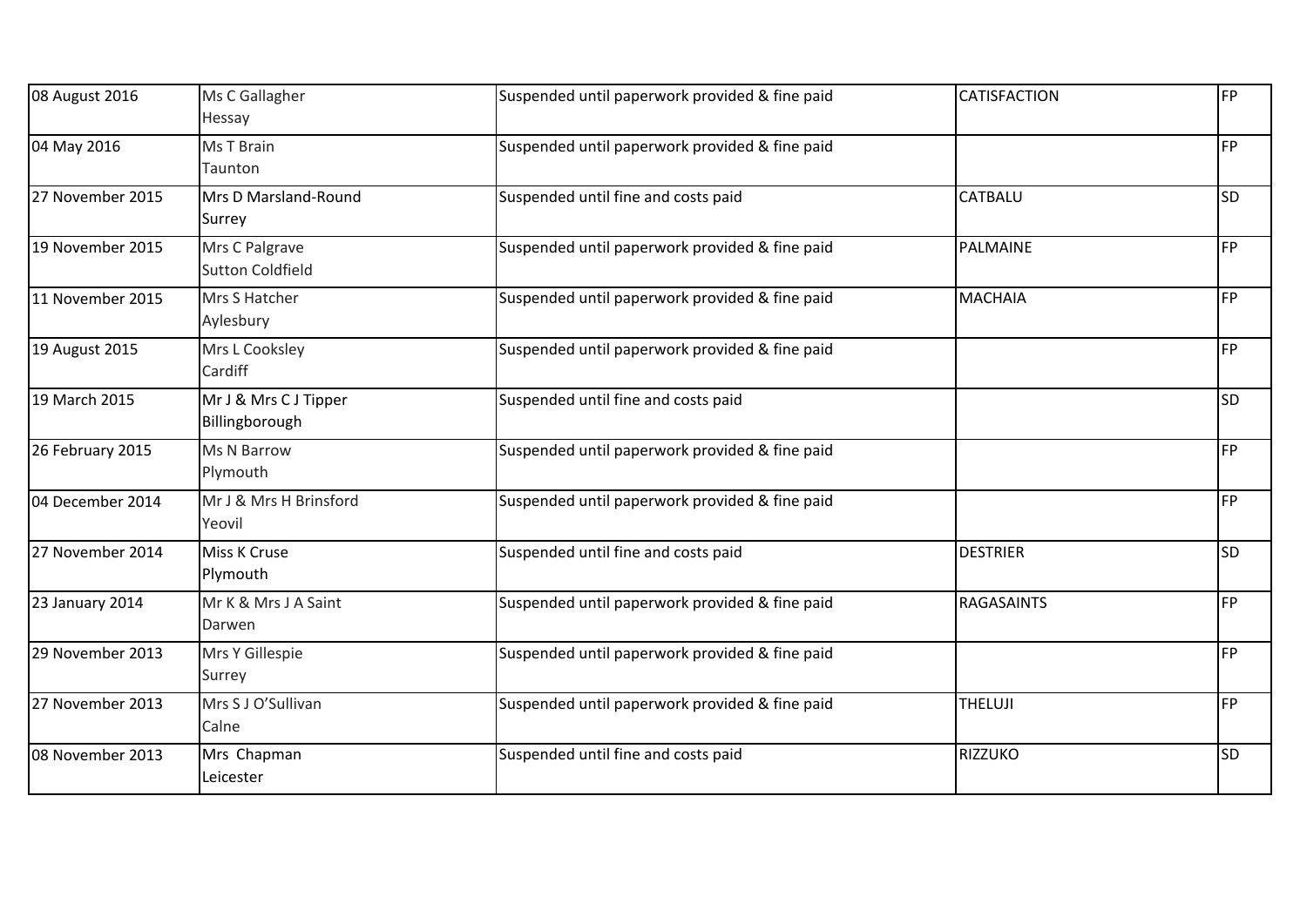| 08 August 2016   | Ms C Gallagher<br>Hessay                  | Suspended until paperwork provided & fine paid | <b>CATISFACTION</b> | <b>FP</b> |
|------------------|-------------------------------------------|------------------------------------------------|---------------------|-----------|
| 04 May 2016      | Ms T Brain<br>Taunton                     | Suspended until paperwork provided & fine paid |                     | FP        |
| 27 November 2015 | Mrs D Marsland-Round<br>Surrey            | Suspended until fine and costs paid            | <b>CATBALU</b>      | <b>SD</b> |
| 19 November 2015 | Mrs C Palgrave<br><b>Sutton Coldfield</b> | Suspended until paperwork provided & fine paid | PALMAINE            | FP        |
| 11 November 2015 | Mrs S Hatcher<br>Aylesbury                | Suspended until paperwork provided & fine paid | <b>MACHAIA</b>      | FP        |
| 19 August 2015   | Mrs L Cooksley<br>Cardiff                 | Suspended until paperwork provided & fine paid |                     | <b>FP</b> |
| 19 March 2015    | Mr J & Mrs C J Tipper<br>Billingborough   | Suspended until fine and costs paid            |                     | <b>SD</b> |
| 26 February 2015 | Ms N Barrow<br>Plymouth                   | Suspended until paperwork provided & fine paid |                     | FP        |
| 04 December 2014 | Mr J & Mrs H Brinsford<br>Yeovil          | Suspended until paperwork provided & fine paid |                     | <b>FP</b> |
| 27 November 2014 | Miss K Cruse<br>Plymouth                  | Suspended until fine and costs paid            | <b>DESTRIER</b>     | <b>SD</b> |
| 23 January 2014  | Mr K & Mrs J A Saint<br>Darwen            | Suspended until paperwork provided & fine paid | <b>RAGASAINTS</b>   | FP        |
| 29 November 2013 | Mrs Y Gillespie<br>Surrey                 | Suspended until paperwork provided & fine paid |                     | <b>FP</b> |
| 27 November 2013 | Mrs S J O'Sullivan<br>Calne               | Suspended until paperwork provided & fine paid | <b>THELUJI</b>      | <b>FP</b> |
| 08 November 2013 | Mrs Chapman<br>Leicester                  | Suspended until fine and costs paid            | <b>RIZZUKO</b>      | <b>SD</b> |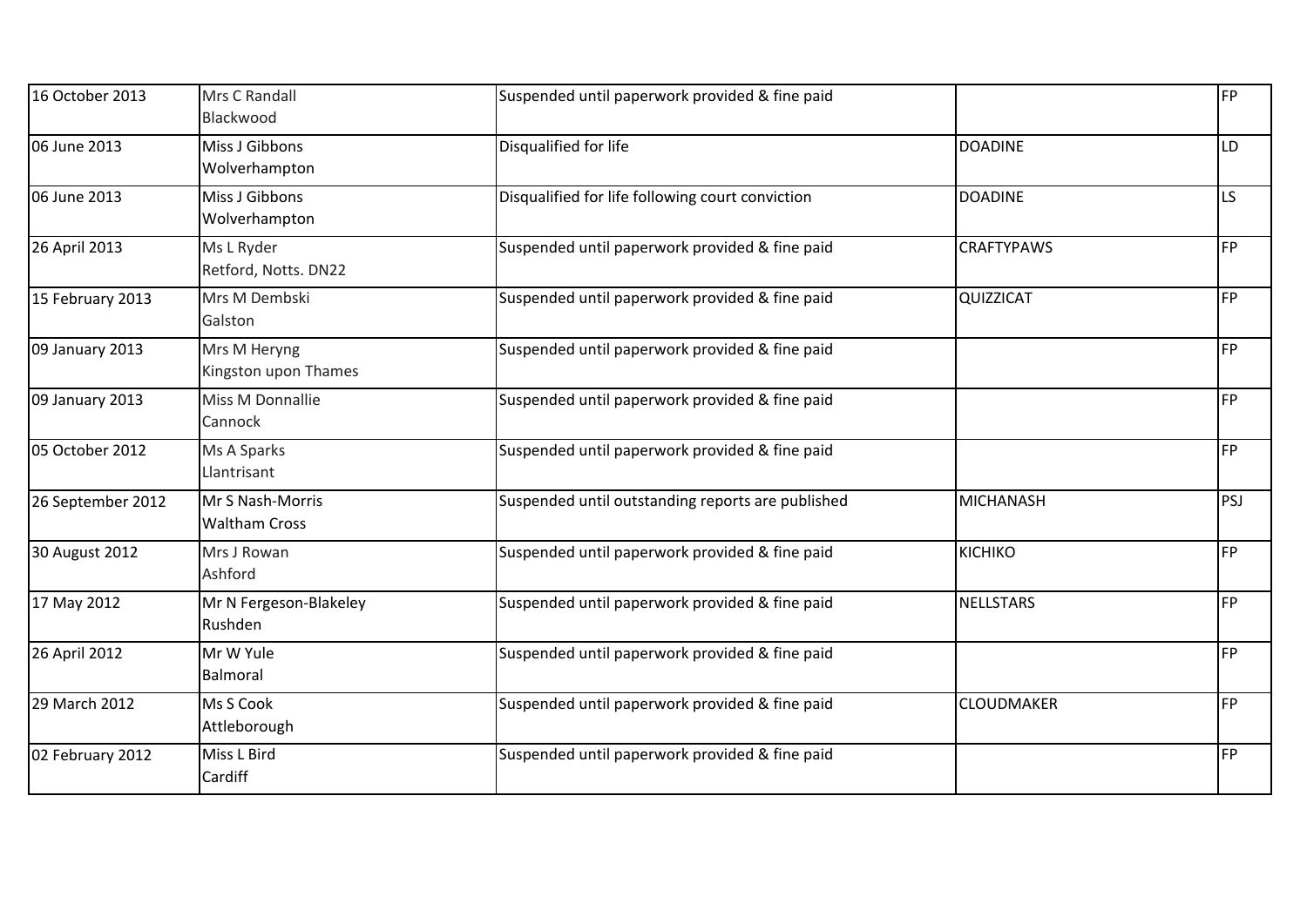| 16 October 2013   | Mrs C Randall<br>Blackwood               | Suspended until paperwork provided & fine paid    |                   | <b>FP</b> |
|-------------------|------------------------------------------|---------------------------------------------------|-------------------|-----------|
| 06 June 2013      | Miss J Gibbons<br>Wolverhampton          | Disqualified for life                             | <b>DOADINE</b>    | LD        |
| 06 June 2013      | Miss J Gibbons<br>Wolverhampton          | Disqualified for life following court conviction  | <b>DOADINE</b>    | LS        |
| 26 April 2013     | Ms L Ryder<br>Retford, Notts. DN22       | Suspended until paperwork provided & fine paid    | <b>CRAFTYPAWS</b> | <b>FP</b> |
| 15 February 2013  | Mrs M Dembski<br>Galston                 | Suspended until paperwork provided & fine paid    | QUIZZICAT         | <b>FP</b> |
| 09 January 2013   | Mrs M Heryng<br>Kingston upon Thames     | Suspended until paperwork provided & fine paid    |                   | <b>FP</b> |
| 09 January 2013   | Miss M Donnallie<br>Cannock              | Suspended until paperwork provided & fine paid    |                   | <b>FP</b> |
| 05 October 2012   | Ms A Sparks<br>Llantrisant               | Suspended until paperwork provided & fine paid    |                   | <b>FP</b> |
| 26 September 2012 | Mr S Nash-Morris<br><b>Waltham Cross</b> | Suspended until outstanding reports are published | <b>MICHANASH</b>  | PSJ       |
| 30 August 2012    | Mrs J Rowan<br>Ashford                   | Suspended until paperwork provided & fine paid    | <b>KICHIKO</b>    | <b>FP</b> |
| 17 May 2012       | Mr N Fergeson-Blakeley<br>Rushden        | Suspended until paperwork provided & fine paid    | <b>NELLSTARS</b>  | <b>FP</b> |
| 26 April 2012     | Mr W Yule<br>Balmoral                    | Suspended until paperwork provided & fine paid    |                   | <b>FP</b> |
| 29 March 2012     | Ms S Cook<br>Attleborough                | Suspended until paperwork provided & fine paid    | <b>CLOUDMAKER</b> | <b>FP</b> |
| 02 February 2012  | Miss L Bird<br>Cardiff                   | Suspended until paperwork provided & fine paid    |                   | <b>FP</b> |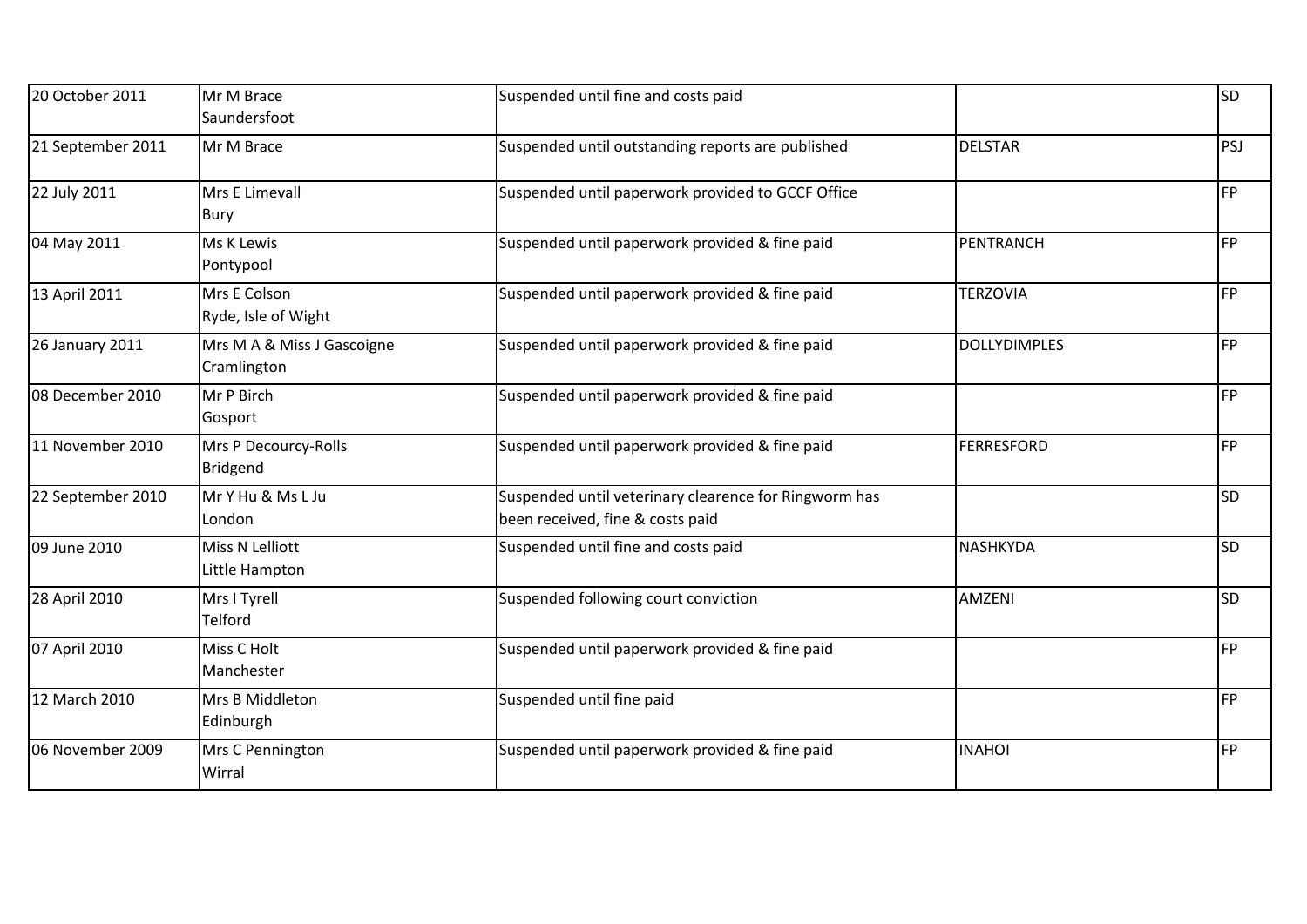| 20 October 2011   | Mr M Brace<br>Saundersfoot                | Suspended until fine and costs paid                                                       |                     | <b>SD</b> |
|-------------------|-------------------------------------------|-------------------------------------------------------------------------------------------|---------------------|-----------|
| 21 September 2011 | Mr M Brace                                | Suspended until outstanding reports are published                                         | <b>DELSTAR</b>      | PSJ       |
| 22 July 2011      | Mrs E Limevall<br>Bury                    | Suspended until paperwork provided to GCCF Office                                         |                     | <b>FP</b> |
| 04 May 2011       | Ms K Lewis<br>Pontypool                   | Suspended until paperwork provided & fine paid                                            | PENTRANCH           | <b>FP</b> |
| 13 April 2011     | Mrs E Colson<br>Ryde, Isle of Wight       | Suspended until paperwork provided & fine paid                                            | <b>TERZOVIA</b>     | <b>FP</b> |
| 26 January 2011   | Mrs M A & Miss J Gascoigne<br>Cramlington | Suspended until paperwork provided & fine paid                                            | <b>DOLLYDIMPLES</b> | <b>FP</b> |
| 08 December 2010  | Mr P Birch<br>Gosport                     | Suspended until paperwork provided & fine paid                                            |                     | <b>FP</b> |
| 11 November 2010  | Mrs P Decourcy-Rolls<br>Bridgend          | Suspended until paperwork provided & fine paid                                            | <b>FERRESFORD</b>   | <b>FP</b> |
| 22 September 2010 | Mr Y Hu & Ms L Ju<br>London               | Suspended until veterinary clearence for Ringworm has<br>been received, fine & costs paid |                     | <b>SD</b> |
| 09 June 2010      | Miss N Lelliott<br>Little Hampton         | Suspended until fine and costs paid                                                       | <b>NASHKYDA</b>     | <b>SD</b> |
| 28 April 2010     | Mrs I Tyrell<br>Telford                   | Suspended following court conviction                                                      | AMZENI              | <b>SD</b> |
| 07 April 2010     | Miss C Holt<br>Manchester                 | Suspended until paperwork provided & fine paid                                            |                     | <b>FP</b> |
| 12 March 2010     | Mrs B Middleton<br>Edinburgh              | Suspended until fine paid                                                                 |                     | <b>FP</b> |
| 06 November 2009  | Mrs C Pennington<br>Wirral                | Suspended until paperwork provided & fine paid                                            | <b>INAHOI</b>       | <b>FP</b> |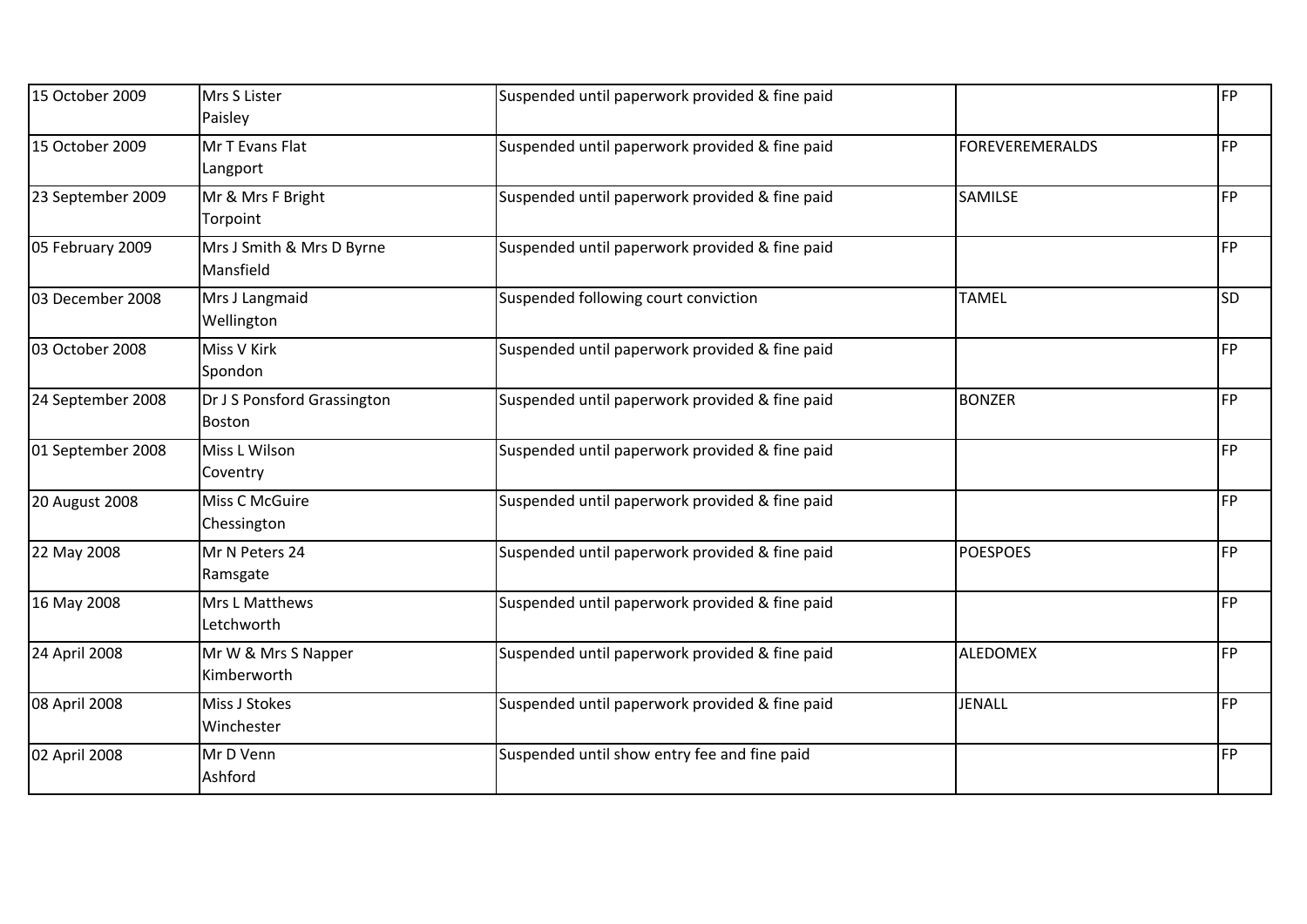| 15 October 2009   | Mrs S Lister<br>Paisley                      | Suspended until paperwork provided & fine paid |                        | <b>FP</b> |
|-------------------|----------------------------------------------|------------------------------------------------|------------------------|-----------|
| 15 October 2009   | Mr T Evans Flat<br>Langport                  | Suspended until paperwork provided & fine paid | <b>FOREVEREMERALDS</b> | <b>FP</b> |
| 23 September 2009 | Mr & Mrs F Bright<br>Torpoint                | Suspended until paperwork provided & fine paid | SAMILSE                | <b>FP</b> |
| 05 February 2009  | Mrs J Smith & Mrs D Byrne<br>Mansfield       | Suspended until paperwork provided & fine paid |                        | <b>FP</b> |
| 03 December 2008  | Mrs J Langmaid<br>Wellington                 | Suspended following court conviction           | <b>TAMEL</b>           | <b>SD</b> |
| 03 October 2008   | Miss V Kirk<br>Spondon                       | Suspended until paperwork provided & fine paid |                        | FP        |
| 24 September 2008 | Dr J S Ponsford Grassington<br><b>Boston</b> | Suspended until paperwork provided & fine paid | <b>BONZER</b>          | <b>FP</b> |
| 01 September 2008 | Miss L Wilson<br>Coventry                    | Suspended until paperwork provided & fine paid |                        | <b>FP</b> |
| 20 August 2008    | Miss C McGuire<br>Chessington                | Suspended until paperwork provided & fine paid |                        | <b>FP</b> |
| 22 May 2008       | Mr N Peters 24<br>Ramsgate                   | Suspended until paperwork provided & fine paid | <b>POESPOES</b>        | <b>FP</b> |
| 16 May 2008       | Mrs L Matthews<br>Letchworth                 | Suspended until paperwork provided & fine paid |                        | FP        |
| 24 April 2008     | Mr W & Mrs S Napper<br>Kimberworth           | Suspended until paperwork provided & fine paid | <b>ALEDOMEX</b>        | <b>FP</b> |
| 08 April 2008     | Miss J Stokes<br>Winchester                  | Suspended until paperwork provided & fine paid | <b>JENALL</b>          | FP        |
| 02 April 2008     | Mr D Venn<br>Ashford                         | Suspended until show entry fee and fine paid   |                        | FP        |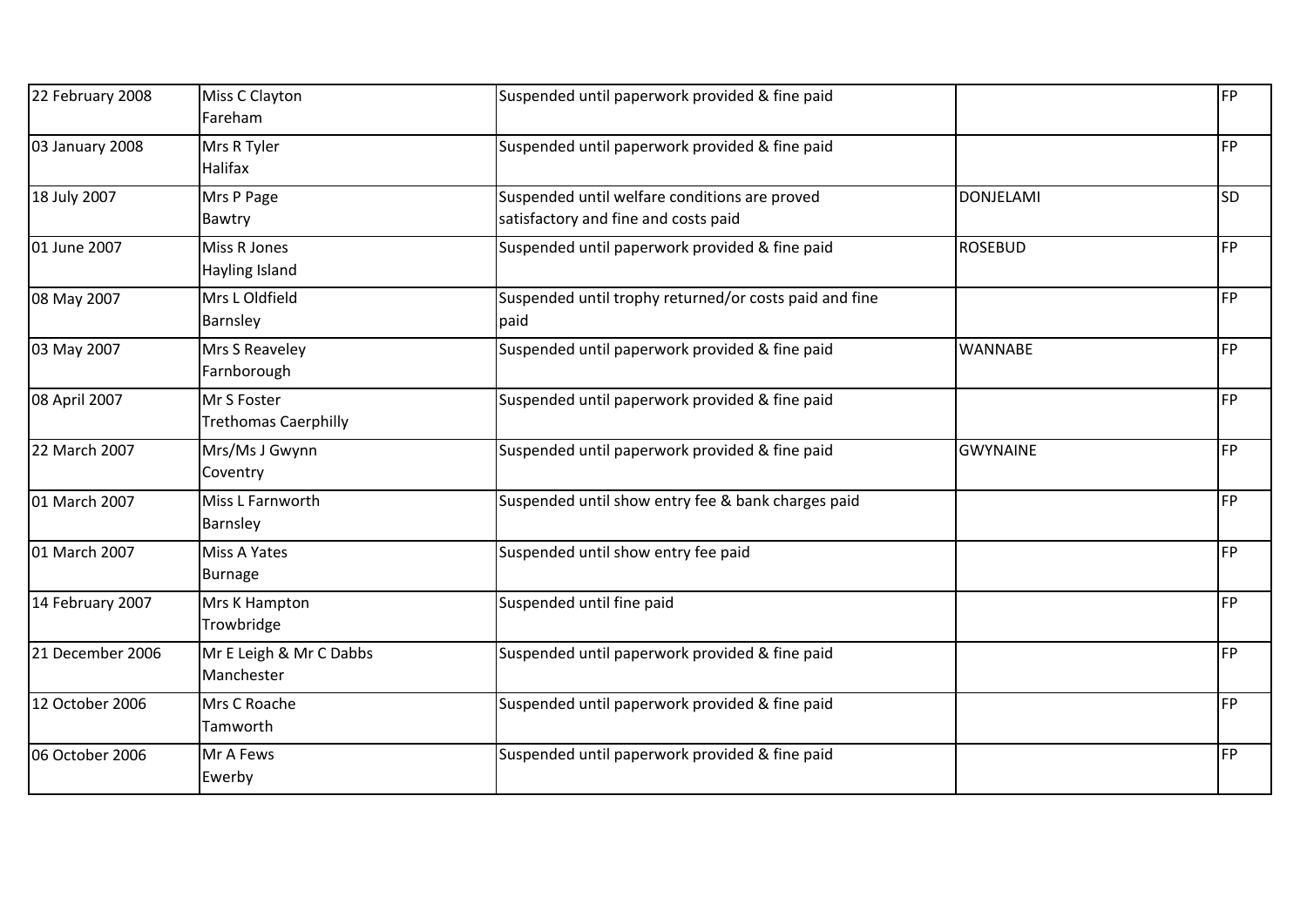| 22 February 2008 | Miss C Clayton<br>Fareham                  | Suspended until paperwork provided & fine paid                                        |                  | FP        |
|------------------|--------------------------------------------|---------------------------------------------------------------------------------------|------------------|-----------|
| 03 January 2008  | Mrs R Tyler<br>Halifax                     | Suspended until paperwork provided & fine paid                                        |                  | FP        |
| 18 July 2007     | Mrs P Page<br>Bawtry                       | Suspended until welfare conditions are proved<br>satisfactory and fine and costs paid | <b>DONJELAMI</b> | <b>SD</b> |
| 01 June 2007     | Miss R Jones<br>Hayling Island             | Suspended until paperwork provided & fine paid                                        | <b>ROSEBUD</b>   | <b>FP</b> |
| 08 May 2007      | Mrs L Oldfield<br>Barnsley                 | Suspended until trophy returned/or costs paid and fine<br>paid                        |                  | FP        |
| 03 May 2007      | Mrs S Reaveley<br>Farnborough              | Suspended until paperwork provided & fine paid                                        | <b>WANNABE</b>   | <b>FP</b> |
| 08 April 2007    | Mr S Foster<br><b>Trethomas Caerphilly</b> | Suspended until paperwork provided & fine paid                                        |                  | <b>FP</b> |
| 22 March 2007    | Mrs/Ms J Gwynn<br>Coventry                 | Suspended until paperwork provided & fine paid                                        | <b>GWYNAINE</b>  | FP        |
| 01 March 2007    | Miss L Farnworth<br>Barnsley               | Suspended until show entry fee & bank charges paid                                    |                  | <b>FP</b> |
| 01 March 2007    | Miss A Yates<br><b>Burnage</b>             | Suspended until show entry fee paid                                                   |                  | FP        |
| 14 February 2007 | Mrs K Hampton<br>Trowbridge                | Suspended until fine paid                                                             |                  | FP        |
| 21 December 2006 | Mr E Leigh & Mr C Dabbs<br>Manchester      | Suspended until paperwork provided & fine paid                                        |                  | <b>FP</b> |
| 12 October 2006  | Mrs C Roache<br>Tamworth                   | Suspended until paperwork provided & fine paid                                        |                  | <b>FP</b> |
| 06 October 2006  | Mr A Fews<br>Ewerby                        | Suspended until paperwork provided & fine paid                                        |                  | FP        |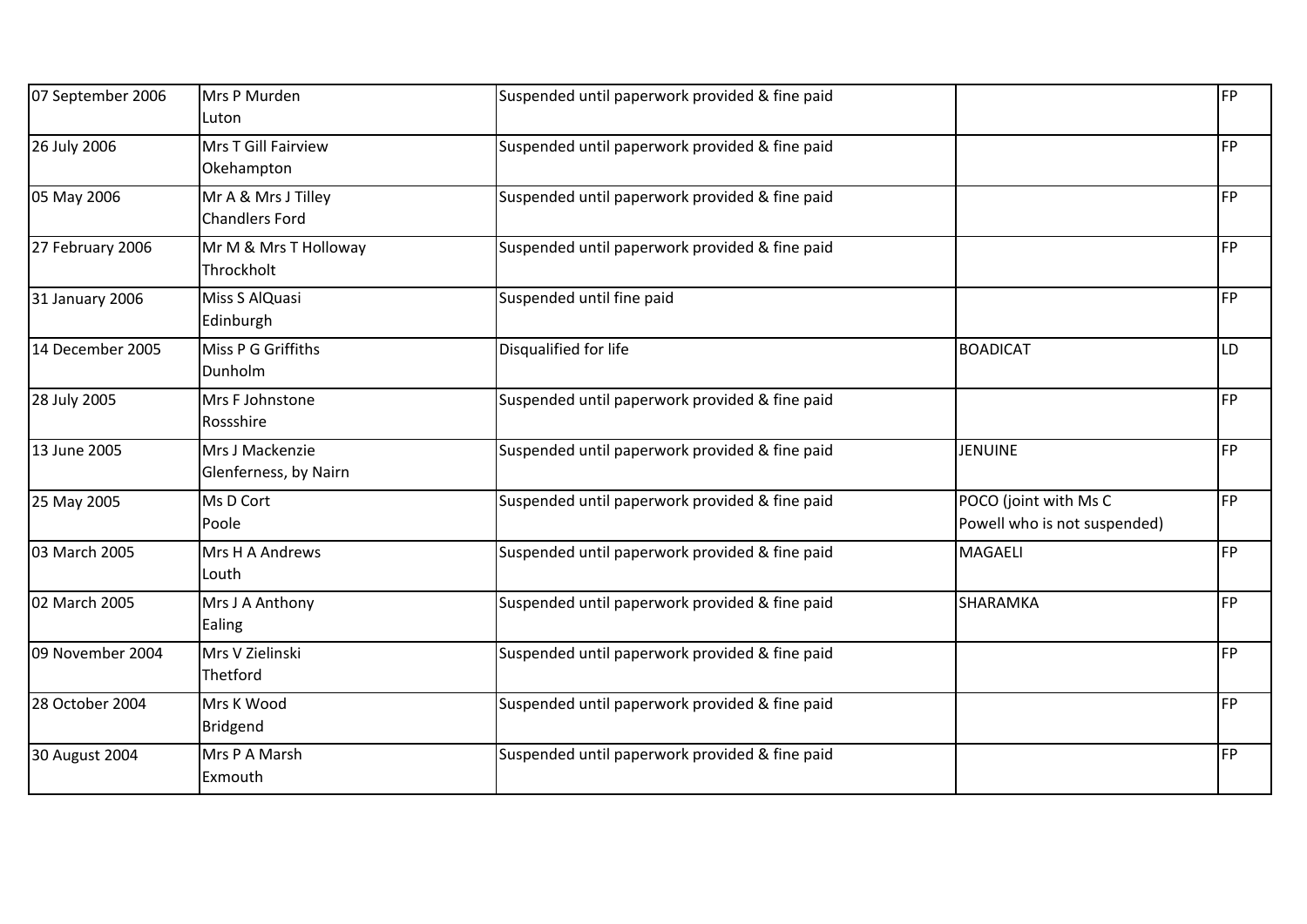| 07 September 2006 | Mrs P Murden<br><b>Luton</b>                 | Suspended until paperwork provided & fine paid |                                                       | FP        |
|-------------------|----------------------------------------------|------------------------------------------------|-------------------------------------------------------|-----------|
| 26 July 2006      | Mrs T Gill Fairview<br>Okehampton            | Suspended until paperwork provided & fine paid |                                                       | <b>FP</b> |
| 05 May 2006       | Mr A & Mrs J Tilley<br><b>Chandlers Ford</b> | Suspended until paperwork provided & fine paid |                                                       | <b>FP</b> |
| 27 February 2006  | Mr M & Mrs T Holloway<br>Throckholt          | Suspended until paperwork provided & fine paid |                                                       | FP        |
| 31 January 2006   | Miss S AlQuasi<br>Edinburgh                  | Suspended until fine paid                      |                                                       | <b>FP</b> |
| 14 December 2005  | Miss P G Griffiths<br>Dunholm                | Disqualified for life                          | <b>BOADICAT</b>                                       | LD        |
| 28 July 2005      | Mrs F Johnstone<br>Rossshire                 | Suspended until paperwork provided & fine paid |                                                       | <b>FP</b> |
| 13 June 2005      | Mrs J Mackenzie<br>Glenferness, by Nairn     | Suspended until paperwork provided & fine paid | <b>JENUINE</b>                                        | FP        |
| 25 May 2005       | Ms D Cort<br>Poole                           | Suspended until paperwork provided & fine paid | POCO (joint with Ms C<br>Powell who is not suspended) | <b>FP</b> |
| 03 March 2005     | Mrs H A Andrews<br>Louth                     | Suspended until paperwork provided & fine paid | <b>MAGAELI</b>                                        | <b>FP</b> |
| 02 March 2005     | Mrs J A Anthony<br>Ealing                    | Suspended until paperwork provided & fine paid | <b>SHARAMKA</b>                                       | <b>FP</b> |
| 09 November 2004  | Mrs V Zielinski<br>Thetford                  | Suspended until paperwork provided & fine paid |                                                       | <b>FP</b> |
| 28 October 2004   | Mrs K Wood<br>Bridgend                       | Suspended until paperwork provided & fine paid |                                                       | FP        |
| 30 August 2004    | Mrs P A Marsh<br>Exmouth                     | Suspended until paperwork provided & fine paid |                                                       | <b>FP</b> |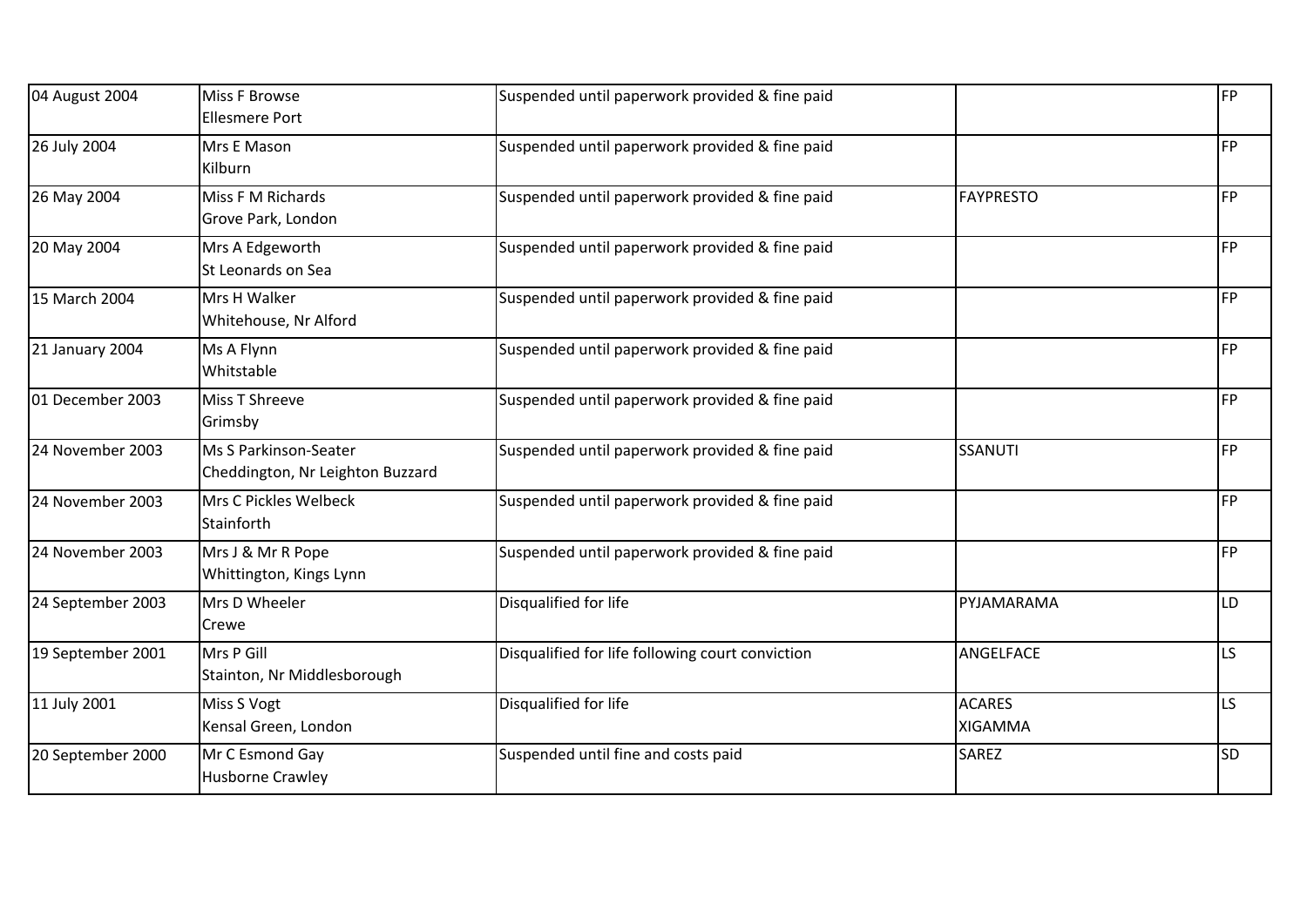| 04 August 2004    | Miss F Browse<br><b>Ellesmere Port</b>                    | Suspended until paperwork provided & fine paid   |                                 | <b>FP</b> |
|-------------------|-----------------------------------------------------------|--------------------------------------------------|---------------------------------|-----------|
| 26 July 2004      | Mrs E Mason<br>Kilburn                                    | Suspended until paperwork provided & fine paid   |                                 | <b>FP</b> |
| 26 May 2004       | Miss F M Richards<br>Grove Park, London                   | Suspended until paperwork provided & fine paid   | <b>FAYPRESTO</b>                | <b>FP</b> |
| 20 May 2004       | Mrs A Edgeworth<br>St Leonards on Sea                     | Suspended until paperwork provided & fine paid   |                                 | <b>FP</b> |
| 15 March 2004     | Mrs H Walker<br>Whitehouse, Nr Alford                     | Suspended until paperwork provided & fine paid   |                                 | <b>FP</b> |
| 21 January 2004   | Ms A Flynn<br>Whitstable                                  | Suspended until paperwork provided & fine paid   |                                 | <b>FP</b> |
| 01 December 2003  | Miss T Shreeve<br>Grimsby                                 | Suspended until paperwork provided & fine paid   |                                 | <b>FP</b> |
| 24 November 2003  | Ms S Parkinson-Seater<br>Cheddington, Nr Leighton Buzzard | Suspended until paperwork provided & fine paid   | <b>SSANUTI</b>                  | <b>FP</b> |
| 24 November 2003  | Mrs C Pickles Welbeck<br>Stainforth                       | Suspended until paperwork provided & fine paid   |                                 | FP        |
| 24 November 2003  | Mrs J & Mr R Pope<br>Whittington, Kings Lynn              | Suspended until paperwork provided & fine paid   |                                 | <b>FP</b> |
| 24 September 2003 | Mrs D Wheeler<br>Crewe                                    | Disqualified for life                            | PYJAMARAMA                      | LD        |
| 19 September 2001 | Mrs P Gill<br>Stainton, Nr Middlesborough                 | Disqualified for life following court conviction | ANGELFACE                       | LS.       |
| 11 July 2001      | Miss S Vogt<br>Kensal Green, London                       | Disqualified for life                            | <b>ACARES</b><br><b>XIGAMMA</b> | LS        |
| 20 September 2000 | Mr C Esmond Gay<br><b>Husborne Crawley</b>                | Suspended until fine and costs paid              | <b>SAREZ</b>                    | SD        |